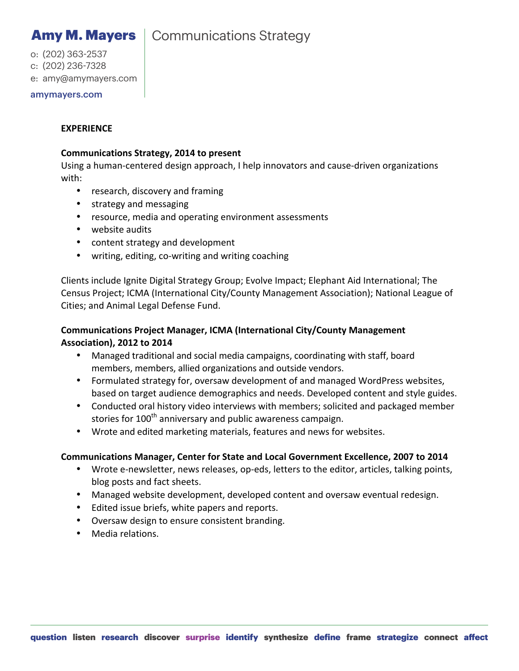# Amy M. Mayers | Communications Strategy

o: (202) 363-2537 c: (202) 236-7328 e: amy@amymayers.com

amymayers.com

#### **EXPERIENCE**

#### **Communications Strategy, 2014 to present**

Using a human-centered design approach, I help innovators and cause-driven organizations with: 

- research, discovery and framing
- strategy and messaging
- resource, media and operating environment assessments
- website audits
- content strategy and development
- writing, editing, co-writing and writing coaching

Clients include Ignite Digital Strategy Group; Evolve Impact; Elephant Aid International; The Census Project; ICMA (International City/County Management Association); National League of Cities; and Animal Legal Defense Fund.

# **Communications Project Manager, ICMA (International City/County Management Association), 2012 to 2014**

- Managed traditional and social media campaigns, coordinating with staff, board members, members, allied organizations and outside vendors.
- Formulated strategy for, oversaw development of and managed WordPress websites, based on target audience demographics and needs. Developed content and style guides.
- Conducted oral history video interviews with members; solicited and packaged member stories for 100<sup>th</sup> anniversary and public awareness campaign.
- Wrote and edited marketing materials, features and news for websites.

#### Communications Manager, Center for State and Local Government Excellence, 2007 to 2014

- Wrote e-newsletter, news releases, op-eds, letters to the editor, articles, talking points, blog posts and fact sheets.
- Managed website development, developed content and oversaw eventual redesign.
- Edited issue briefs, white papers and reports.
- Oversaw design to ensure consistent branding.
- Media relations.